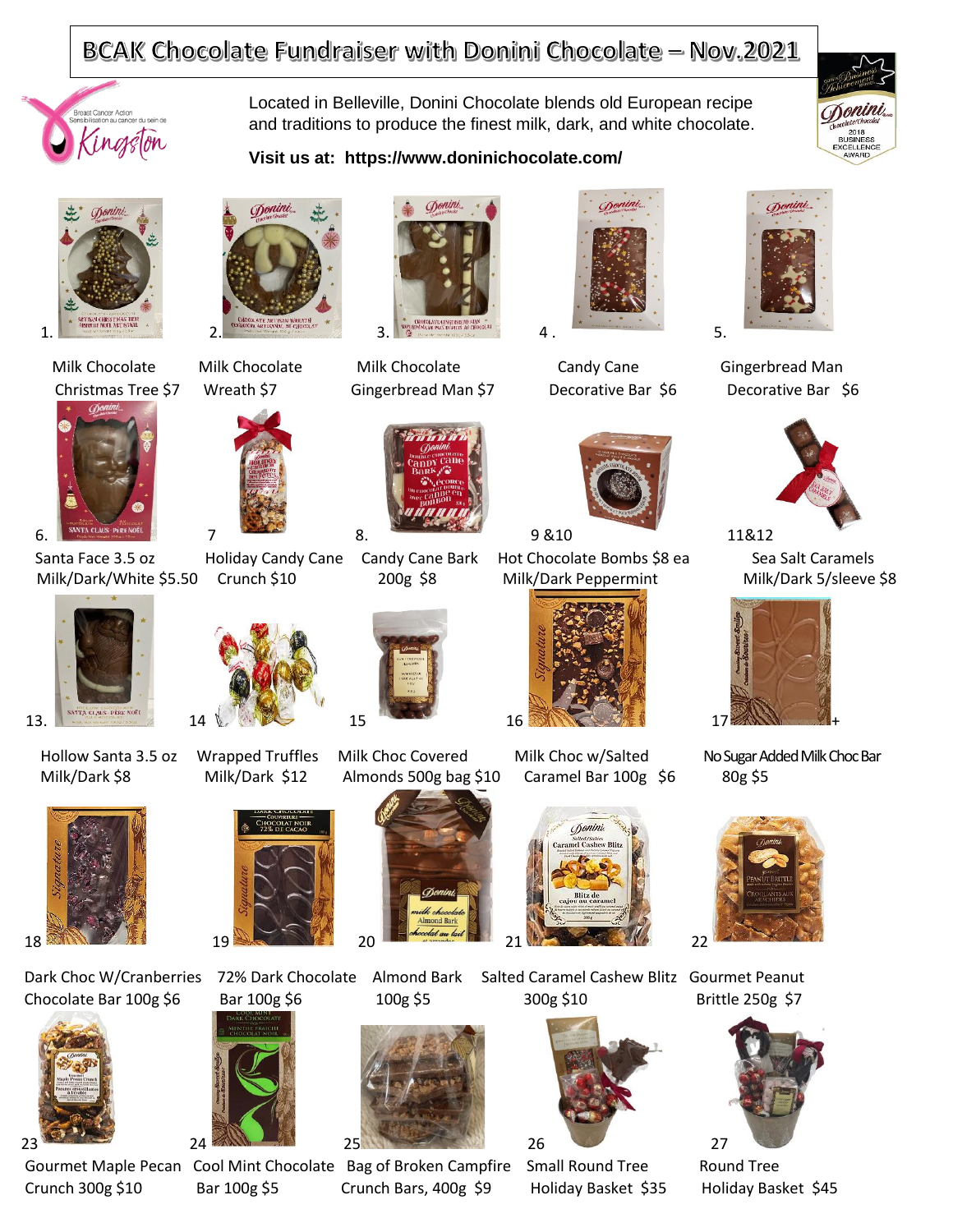## BCAK Chocolate Fundraiser with Donini Chocolate - Nov.2021

**Visit us at: https://www.doninichocolate.com/**

Located in Belleville, Donini Chocolate blends old European recipe and traditions to produce the finest milk, dark, and white chocolate.







Santa Face 3.5 oz Holiday Candy Cane Candy Cane Bark Hot Chocolate Bombs \$8 ea Sea Salt Caramels Milk/Dark/White \$5.50 Crunch \$10 200g \$8 Milk/Dark Peppermint Milk/Dark 5/sleeve \$8



















Milk/Dark \$8 Milk/Dark \$12 Almonds 500g bag \$10 Caramel Bar 100g \$6 80g \$5







 Gourmet Maple Pecan Cool Mint Chocolate Bag of Broken Campfire Small Round Tree Round Tree Crunch 300g \$10 Bar 100g \$5 Crunch Bars, 400g \$9 Holiday Basket \$35 Holiday Basket \$45





Milk Chocolate Milk Chocolate Milk Chocolate Candy Cane Gingerbread Man Christmas Tree \$7 Wreath \$7 Gingerbread Man \$7 Decorative Bar \$6 Decorative Bar \$6





Hollow Santa 3.5 oz Wrapped Truffles Milk Choc Covered Milk Choc w/Salted No Sugar Added Milk Choc Bar













Dark Choc W/Cranberries 72% Dark Chocolate Almond Bark Salted Caramel Cashew Blitz Gourmet Peanut Chocolate Bar 100g \$6 Bar 100g \$6 100g \$5 300g \$10 Brittle 250g \$7













13. 14 1, 14 1, 15 16 27 16 27 16 27 17 27 17



















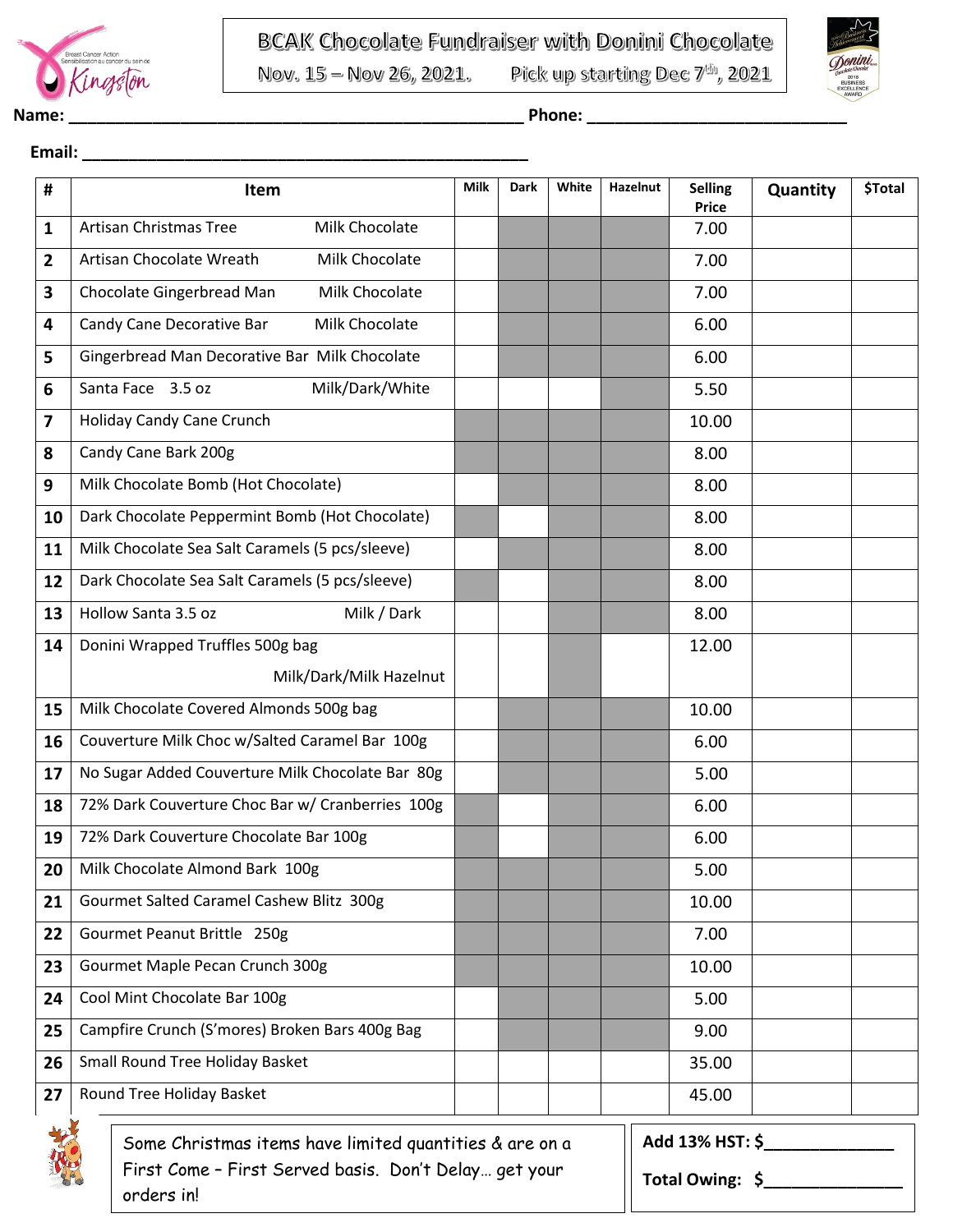

Nov. 15 - Nov 26, 2021.

 **Email: \_\_\_\_\_\_\_\_\_\_\_\_\_\_\_\_\_\_\_\_\_\_\_\_\_\_\_\_\_\_\_\_\_\_\_\_\_\_\_\_\_\_\_\_\_\_\_\_**

Pick up starting Dec 7th, 2021



| #  | Item                                                                                                             | Milk | Dark | White | Hazelnut | <b>Selling</b><br><b>Price</b>     | Quantity | \$Total |  |
|----|------------------------------------------------------------------------------------------------------------------|------|------|-------|----------|------------------------------------|----------|---------|--|
| 1  | <b>Artisan Christmas Tree</b><br>Milk Chocolate                                                                  |      |      |       |          | 7.00                               |          |         |  |
| 2  | Artisan Chocolate Wreath<br>Milk Chocolate                                                                       |      |      |       |          | 7.00                               |          |         |  |
| 3  | Chocolate Gingerbread Man<br>Milk Chocolate                                                                      |      |      |       |          | 7.00                               |          |         |  |
| 4  | Candy Cane Decorative Bar<br>Milk Chocolate                                                                      |      |      |       |          | 6.00                               |          |         |  |
| 5  | Gingerbread Man Decorative Bar Milk Chocolate                                                                    |      |      |       |          | 6.00                               |          |         |  |
| 6  | Milk/Dark/White<br>Santa Face 3.5 oz                                                                             |      |      |       |          | 5.50                               |          |         |  |
| 7  | Holiday Candy Cane Crunch                                                                                        |      |      |       |          | 10.00                              |          |         |  |
| 8  | Candy Cane Bark 200g                                                                                             |      |      |       |          | 8.00                               |          |         |  |
| 9  | Milk Chocolate Bomb (Hot Chocolate)                                                                              |      |      |       |          | 8.00                               |          |         |  |
| 10 | Dark Chocolate Peppermint Bomb (Hot Chocolate)                                                                   |      |      |       |          | 8.00                               |          |         |  |
| 11 | Milk Chocolate Sea Salt Caramels (5 pcs/sleeve)                                                                  |      |      |       |          | 8.00                               |          |         |  |
| 12 | Dark Chocolate Sea Salt Caramels (5 pcs/sleeve)                                                                  |      |      |       |          | 8.00                               |          |         |  |
| 13 | Milk / Dark<br>Hollow Santa 3.5 oz                                                                               |      |      |       |          | 8.00                               |          |         |  |
| 14 | Donini Wrapped Truffles 500g bag                                                                                 |      |      |       |          | 12.00                              |          |         |  |
|    | Milk/Dark/Milk Hazelnut                                                                                          |      |      |       |          |                                    |          |         |  |
| 15 | Milk Chocolate Covered Almonds 500g bag                                                                          |      |      |       |          | 10.00                              |          |         |  |
| 16 | Couverture Milk Choc w/Salted Caramel Bar 100g                                                                   |      |      |       |          | 6.00                               |          |         |  |
| 17 | No Sugar Added Couverture Milk Chocolate Bar 80g                                                                 |      |      |       |          | 5.00                               |          |         |  |
| 18 | 72% Dark Couverture Choc Bar w/ Cranberries 100g                                                                 |      |      |       |          | 6.00                               |          |         |  |
| 19 | 72% Dark Couverture Chocolate Bar 100g                                                                           |      |      |       |          | 6.00                               |          |         |  |
| 20 | Milk Chocolate Almond Bark 100g                                                                                  |      |      |       |          | 5.00                               |          |         |  |
| 21 | Gourmet Salted Caramel Cashew Blitz 300g                                                                         |      |      |       |          | 10.00                              |          |         |  |
| 22 | Gourmet Peanut Brittle 250g                                                                                      |      |      |       |          | 7.00                               |          |         |  |
| 23 | Gourmet Maple Pecan Crunch 300g                                                                                  |      |      |       |          | 10.00                              |          |         |  |
| 24 | Cool Mint Chocolate Bar 100g                                                                                     |      |      |       |          | 5.00                               |          |         |  |
| 25 | Campfire Crunch (S'mores) Broken Bars 400g Bag                                                                   |      |      |       |          | 9.00                               |          |         |  |
| 26 | Small Round Tree Holiday Basket                                                                                  |      |      |       |          | 35.00                              |          |         |  |
| 27 | Round Tree Holiday Basket                                                                                        |      |      |       |          | 45.00                              |          |         |  |
|    | Some Christmas items have limited quantities & are on a<br>First Come - First Served basis. Don't Delay get your |      |      |       |          | Add 13% HST: \$<br>Total Owing: \$ |          |         |  |

First Come – First Served basis. Don't Delay… get your orders in!

**Total Owing: \$\_\_\_\_\_\_\_\_\_\_\_\_\_\_\_**